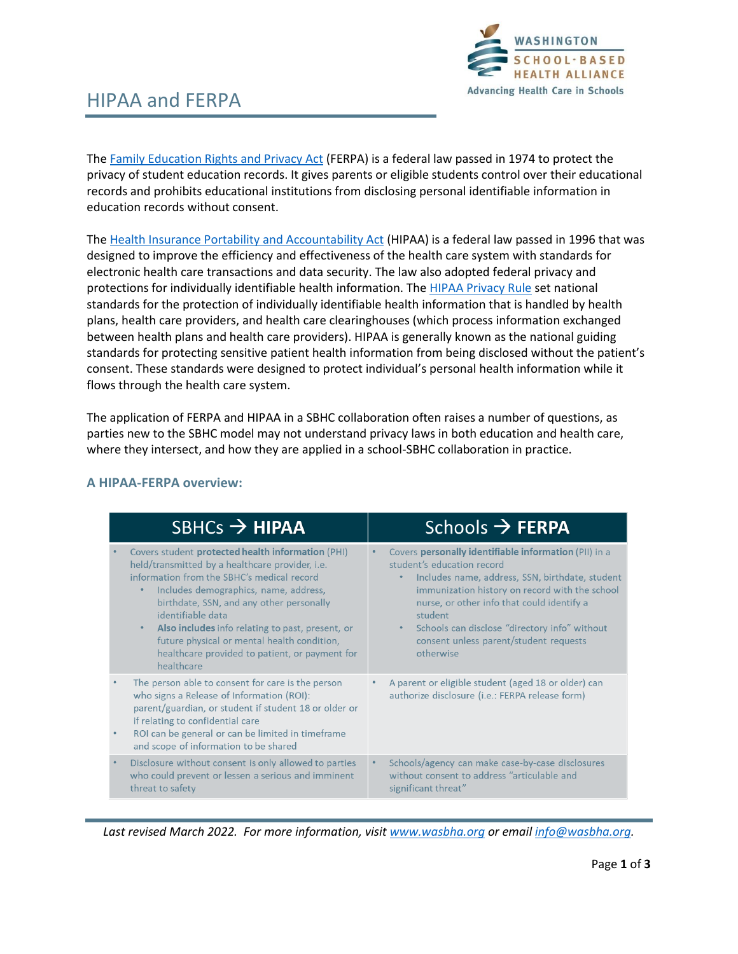

# HIPAA and FERPA

The [Family Education Rights and Privacy Act](https://www2.ed.gov/policy/gen/guid/fpco/ferpa/index.html) (FERPA) is a federal law passed in 1974 to protect the privacy of student education records. It gives parents or eligible students control over their educational records and prohibits educational institutions from disclosing personal identifiable information in education records without consent.

The [Health Insurance Portability and Accountability Act](https://www.hhs.gov/hipaa/for-professionals/security/laws-regulations/index.html) (HIPAA) is a federal law passed in 1996 that was designed to improve the efficiency and effectiveness of the health care system with standards for electronic health care transactions and data security. The law also adopted federal privacy and protections for individually identifiable health information. Th[e HIPAA Privacy Rule](https://www.hhs.gov/hipaa/for-professionals/privacy/index.html) set national standards for the protection of individually identifiable health information that is handled by health plans, health care providers, and health care clearinghouses (which process information exchanged between health plans and health care providers). HIPAA is generally known as the national guiding standards for protecting sensitive patient health information from being disclosed without the patient's consent. These standards were designed to protect individual's personal health information while it flows through the health care system.

The application of FERPA and HIPAA in a SBHC collaboration often raises a number of questions, as parties new to the SBHC model may not understand privacy laws in both education and health care, where they intersect, and how they are applied in a school-SBHC collaboration in practice.

| $SBHCs \rightarrow HIPAA$                                                                                                                                                                                                                                                                                                                                                                                                                           | Schools $\rightarrow$ FERPA                                                                                                                                                                                                                                                                                                                                                         |
|-----------------------------------------------------------------------------------------------------------------------------------------------------------------------------------------------------------------------------------------------------------------------------------------------------------------------------------------------------------------------------------------------------------------------------------------------------|-------------------------------------------------------------------------------------------------------------------------------------------------------------------------------------------------------------------------------------------------------------------------------------------------------------------------------------------------------------------------------------|
| Covers student protected health information (PHI)<br>held/transmitted by a healthcare provider, <i>i.e.</i><br>information from the SBHC's medical record<br>Includes demographics, name, address,<br>birthdate, SSN, and any other personally<br>identifiable data<br>Also includes info relating to past, present, or<br>$\bullet$<br>future physical or mental health condition,<br>healthcare provided to patient, or payment for<br>healthcare | Covers personally identifiable information (PII) in a<br>$\bullet$<br>student's education record<br>Includes name, address, SSN, birthdate, student<br>immunization history on record with the school<br>nurse, or other info that could identify a<br>student<br>Schools can disclose "directory info" without<br>$\bullet$<br>consent unless parent/student requests<br>otherwise |
| The person able to consent for care is the person<br>who signs a Release of Information (ROI):<br>parent/guardian, or student if student 18 or older or<br>if relating to confidential care<br>ROI can be general or can be limited in timeframe<br>٠<br>and scope of information to be shared                                                                                                                                                      | A parent or eligible student (aged 18 or older) can<br>$\bullet$<br>authorize disclosure (i.e.: FERPA release form)                                                                                                                                                                                                                                                                 |
| Disclosure without consent is only allowed to parties<br>who could prevent or lessen a serious and imminent<br>threat to safety                                                                                                                                                                                                                                                                                                                     | Schools/agency can make case-by-case disclosures<br>$\bullet$<br>without consent to address "articulable and<br>significant threat"                                                                                                                                                                                                                                                 |

### **A HIPAA-FERPA overview:**

*Last revised March 2022. For more information, visit [www.wasbha.org](http://www.wasbha.org/) or email [info@wasbha.org.](mailto:info@wasbha.org)*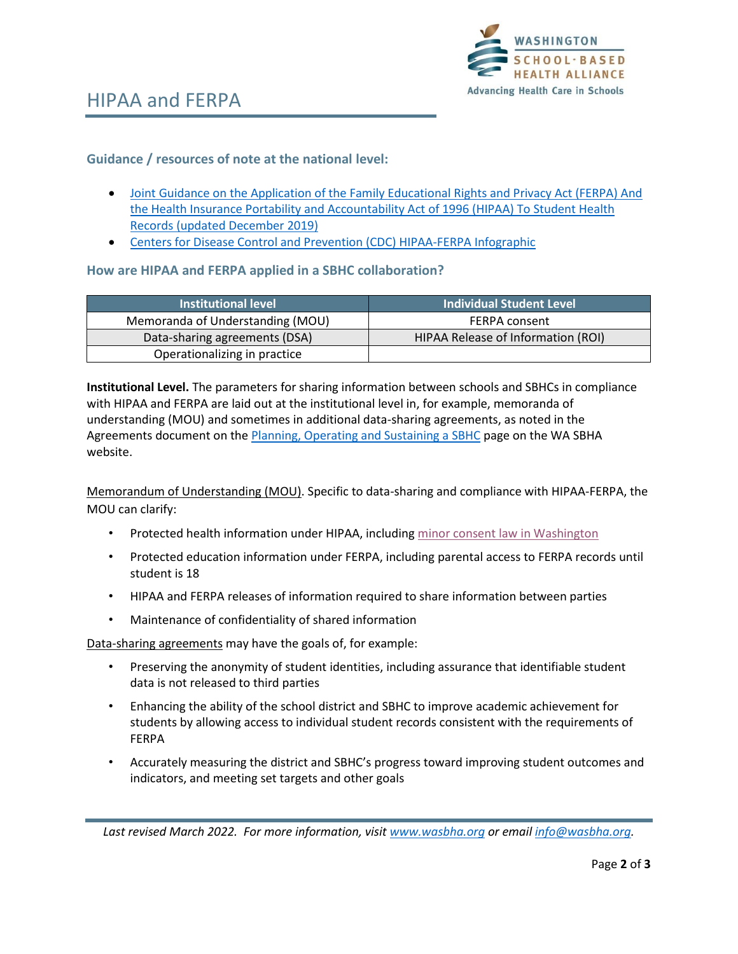

### **Guidance / resources of note at the national level:**

- [Joint Guidance on the Application of the Family Educational Rights and Privacy Act \(FERPA\) And](https://wasbha.org/wp-content/uploads/2020/01/2019-hipaa-ferpa-joint-guidance.pdf)  [the Health Insurance Portability and Accountability Act of 1996 \(HIPAA\) To Student Health](https://wasbha.org/wp-content/uploads/2020/01/2019-hipaa-ferpa-joint-guidance.pdf)  [Records \(updated December 2019\)](https://wasbha.org/wp-content/uploads/2020/01/2019-hipaa-ferpa-joint-guidance.pdf)
- [Centers for Disease Control and Prevention \(CDC\) HIPAA-FERPA Infographic](https://www.cdc.gov/phlp/docs/hipaa-ferpa-infographic-508.pdf)

#### **How are HIPAA and FERPA applied in a SBHC collaboration?**

| <b>Institutional level</b>       | <b>Individual Student Level</b>    |
|----------------------------------|------------------------------------|
| Memoranda of Understanding (MOU) | <b>FERPA consent</b>               |
| Data-sharing agreements (DSA)    | HIPAA Release of Information (ROI) |
| Operationalizing in practice     |                                    |

**Institutional Level.** The parameters for sharing information between schools and SBHCs in compliance with HIPAA and FERPA are laid out at the institutional level in, for example, memoranda of understanding (MOU) and sometimes in additional data-sharing agreements, as noted in the Agreements document on th[e Planning, Operating and Sustaining a SBHC](https://wasbha.org/planning-operating-and-sustaining-a-sbhc/) page on the WA SBHA website.

Memorandum of Understanding (MOU). Specific to data-sharing and compliance with HIPAA-FERPA, the MOU can clarify:

- Protected health information under HIPAA, includin[g minor consent law in Washington](https://www.washingtonlawhelp.org/files/C9D2EA3F-0350-D9AF-ACAE-BF37E9BC9FFA/attachments/C05026F6-61F0-4684-A93A-1D8206789944/5934en_when-can-a-minor-access-health-care-without-parental-consent.pdf)
- Protected education information under FERPA, including parental access to FERPA records until student is 18
- HIPAA and FERPA releases of information required to share information between parties
- Maintenance of confidentiality of shared information

Data-sharing agreements may have the goals of, for example:

- Preserving the anonymity of student identities, including assurance that identifiable student data is not released to third parties
- Enhancing the ability of the school district and SBHC to improve academic achievement for students by allowing access to individual student records consistent with the requirements of FERPA
- Accurately measuring the district and SBHC's progress toward improving student outcomes and indicators, and meeting set targets and other goals

*Last revised March 2022. For more information, visit [www.wasbha.org](http://www.wasbha.org/) or email [info@wasbha.org.](mailto:info@wasbha.org)*